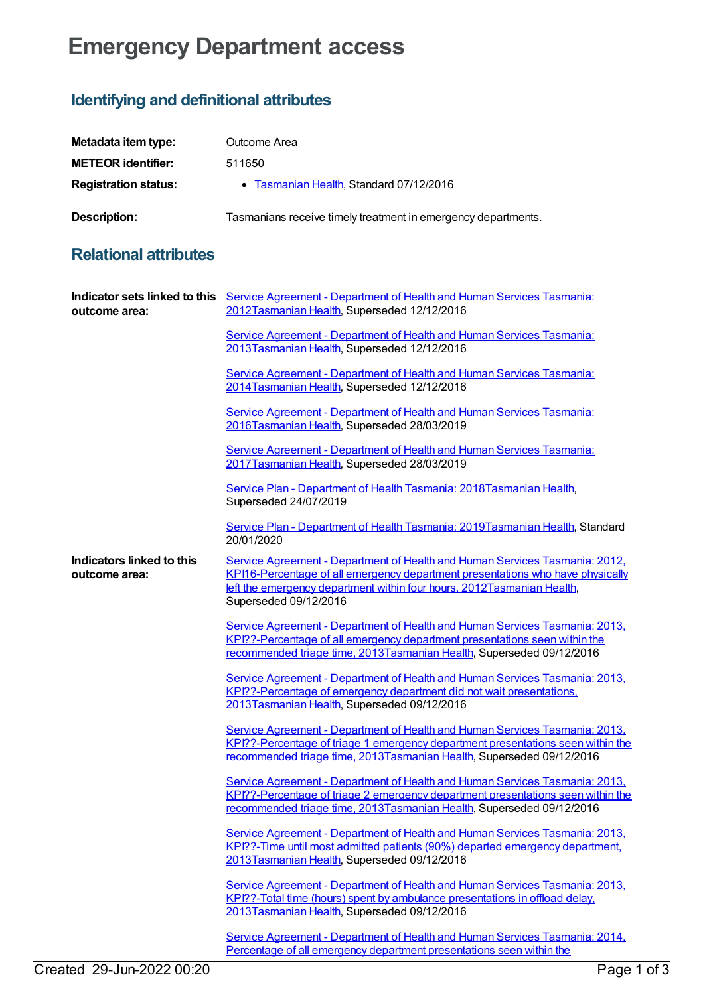## **Emergency Department access**

## **Identifying and definitional attributes**

| Metadata item type:         | Outcome Area                                                  |
|-----------------------------|---------------------------------------------------------------|
| <b>METEOR identifier:</b>   | 511650                                                        |
| <b>Registration status:</b> | • Tasmanian Health, Standard 07/12/2016                       |
| <b>Description:</b>         | Tasmanians receive timely treatment in emergency departments. |

## **Relational attributes**

| outcome area:                                     | Indicator sets linked to this Service Agreement - Department of Health and Human Services Tasmania:<br>2012Tasmanian Health, Superseded 12/12/2016                                                                                                               |
|---------------------------------------------------|------------------------------------------------------------------------------------------------------------------------------------------------------------------------------------------------------------------------------------------------------------------|
|                                                   | Service Agreement - Department of Health and Human Services Tasmania:<br>2013Tasmanian Health, Superseded 12/12/2016                                                                                                                                             |
|                                                   | Service Agreement - Department of Health and Human Services Tasmania:<br>2014 Tasmanian Health, Superseded 12/12/2016                                                                                                                                            |
|                                                   | Service Agreement - Department of Health and Human Services Tasmania:<br>2016Tasmanian Health, Superseded 28/03/2019                                                                                                                                             |
|                                                   | Service Agreement - Department of Health and Human Services Tasmania:<br>2017Tasmanian Health, Superseded 28/03/2019                                                                                                                                             |
|                                                   | Service Plan - Department of Health Tasmania: 2018 Tasmanian Health,<br>Superseded 24/07/2019                                                                                                                                                                    |
|                                                   | Service Plan - Department of Health Tasmania: 2019Tasmanian Health, Standard<br>20/01/2020                                                                                                                                                                       |
| <b>Indicators linked to this</b><br>outcome area: | Service Agreement - Department of Health and Human Services Tasmania: 2012,<br>KPI16-Percentage of all emergency department presentations who have physically<br>left the emergency department within four hours, 2012Tasmanian Health,<br>Superseded 09/12/2016 |
|                                                   | Service Agreement - Department of Health and Human Services Tasmania: 2013,<br>KPI??-Percentage of all emergency department presentations seen within the<br>recommended triage time, 2013Tasmanian Health, Superseded 09/12/2016                                |
|                                                   | Service Agreement - Department of Health and Human Services Tasmania: 2013.<br>KPI??-Percentage of emergency department did not wait presentations.<br>2013Tasmanian Health, Superseded 09/12/2016                                                               |
|                                                   | Service Agreement - Department of Health and Human Services Tasmania: 2013,<br>KPI??-Percentage of triage 1 emergency department presentations seen within the<br>recommended triage time, 2013Tasmanian Health, Superseded 09/12/2016                           |
|                                                   | Service Agreement - Department of Health and Human Services Tasmania: 2013,<br>KPI??-Percentage of triage 2 emergency department presentations seen within the<br>recommended triage time, 2013Tasmanian Health, Superseded 09/12/2016                           |
|                                                   | Service Agreement - Department of Health and Human Services Tasmania: 2013,<br>KPI??-Time until most admitted patients (90%) departed emergency department,<br>2013Tasmanian Health, Superseded 09/12/2016                                                       |
|                                                   | Service Agreement - Department of Health and Human Services Tasmania: 2013.<br>KPI??-Total time (hours) spent by ambulance presentations in offload delay.<br>2013Tasmanian Health, Superseded 09/12/2016                                                        |
|                                                   | Service Agreement - Department of Health and Human Services Tasmania: 2014,<br>Percentage of all emergency department presentations seen within the                                                                                                              |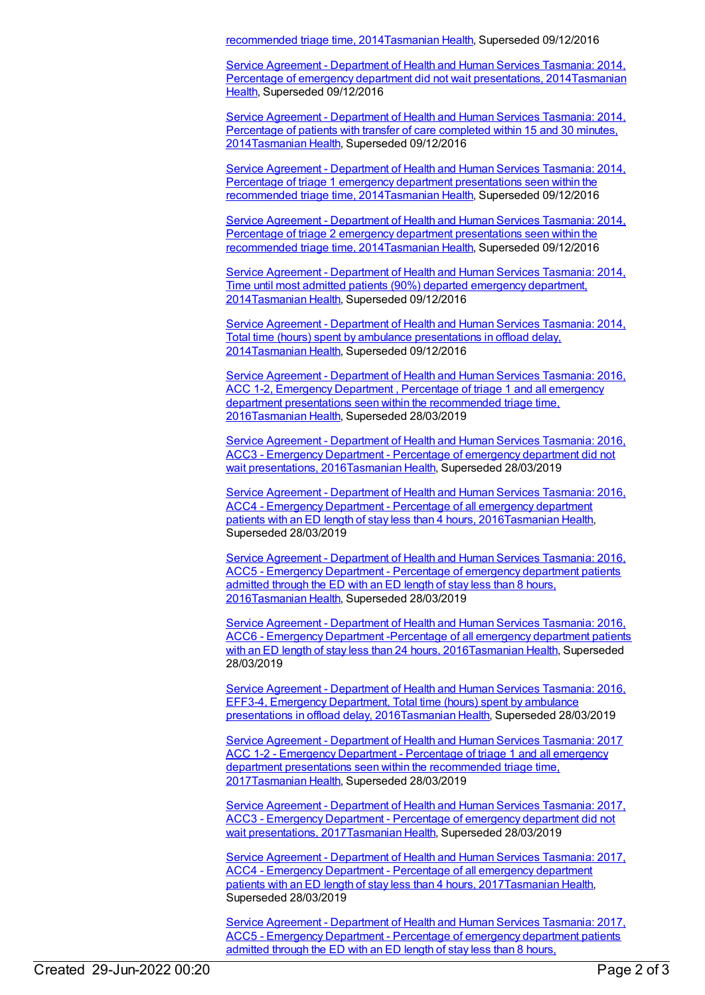recommended triage time, 2014[Tasmanian](https://meteor.aihw.gov.au/RegistrationAuthority/15) Health, Superseded 09/12/2016

Service Agreement - Department of Health and Human Services Tasmania: 2014, Percentage of emergency department did not wait presentations, [2014Tasmanian](https://meteor.aihw.gov.au/RegistrationAuthority/15) Health, Superseded 09/12/2016

Service Agreement - Department of Health and Human Services Tasmania: 2014, Percentage of patients with transfer of care completed within 15 and 30 minutes, [2014Tasmanian](https://meteor.aihw.gov.au/content/493696) Health, Superseded 09/12/2016

Service Agreement - Department of Health and Human Services Tasmania: 2014, Percentage of triage 1 emergency department presentations seen within the recommended triage time, [2014Tasmanian](https://meteor.aihw.gov.au/content/581459) Health, Superseded 09/12/2016

Service Agreement - Department of Health and Human Services Tasmania: 2014, Percentage of triage 2 emergency department presentations seen within the recommended triage time, [2014Tasmanian](https://meteor.aihw.gov.au/content/581474) Health, Superseded 09/12/2016

Service Agreement - Department of Health and Human Services Tasmania: 2014, Time until most admitted patients (90%) departed emergency department, [2014](https://meteor.aihw.gov.au/content/581519)[Tasmanian](https://meteor.aihw.gov.au/RegistrationAuthority/15) Health, Superseded 09/12/2016

Service Agreement - Department of Health and Human Services Tasmania: 2014, Total time (hours) spent by ambulance presentations in offload delay, [2014Tasmanian](https://meteor.aihw.gov.au/content/581525) Health, Superseded 09/12/2016

Service Agreement - Department of Health and Human Services Tasmania: 2016, ACC 1-2, Emergency Department , Percentage of triage 1 and all emergency department presentations seen within the recommended triage time, [2016Tasmanian](https://meteor.aihw.gov.au/content/645376) Health, Superseded 28/03/2019

Service Agreement - Department of Health and Human Services Tasmania: 2016, ACC3 - Emergency Department - Percentage of emergency department did not wait presentations, [2016Tasmanian](https://meteor.aihw.gov.au/content/645374) Health, Superseded 28/03/2019

Service Agreement - Department of Health and Human Services Tasmania: 2016, ACC4 - Emergency Department - Percentage of all emergency department patients with an ED length of stay less than 4 hours, [2016Tasmanian](https://meteor.aihw.gov.au/content/645371) Health, Superseded 28/03/2019

Service Agreement - Department of Health and Human Services Tasmania: 2016, ACC5 - Emergency Department - Percentage of emergency department patients admitted through the ED with an ED length of stay less than 8 hours, [2016Tasmanian](https://meteor.aihw.gov.au/content/645369) Health, Superseded 28/03/2019

Service Agreement - Department of Health and Human Services Tasmania: 2016, ACC6 - Emergency Department -Percentage of all emergency department patients with an ED length of stay less than 24 hours, [2016](https://meteor.aihw.gov.au/content/645359)[Tasmanian](https://meteor.aihw.gov.au/RegistrationAuthority/15) Health, Superseded 28/03/2019

Service Agreement - Department of Health and Human Services Tasmania: 2016, EFF3-4, Emergency Department, Total time (hours) spent by ambulance presentations in offload delay, [2016Tasmanian](https://meteor.aihw.gov.au/content/645378) Health, Superseded 28/03/2019

Service Agreement - Department of Health and Human Services Tasmania: 2017 ACC 1-2 - Emergency Department - Percentage of triage 1 and all emergency department presentations seen within the [recommended](https://meteor.aihw.gov.au/content/675844) triage time, 201[7Tasmanian](https://meteor.aihw.gov.au/RegistrationAuthority/15) Health, Superseded 28/03/2019

Service Agreement - Department of Health and Human Services Tasmania: 2017, ACC3 - Emergency Department - Percentage of emergency department did not wait presentations, [2017Tasmanian](https://meteor.aihw.gov.au/content/675847) Health, Superseded 28/03/2019

Service Agreement - Department of Health and Human Services Tasmania: 2017, ACC4 - Emergency Department - Percentage of all emergency department patients with an ED length of stay less than 4 hours, [2017](https://meteor.aihw.gov.au/content/675849)[Tasmanian](https://meteor.aihw.gov.au/RegistrationAuthority/15) Health, Superseded 28/03/2019

Service Agreement - [Department](https://meteor.aihw.gov.au/content/675856) of Health and Human Services Tasmania: 2017, ACC5 - Emergency Department - Percentage of emergency department patients admitted through the ED with an ED length of stay less than 8 hours,